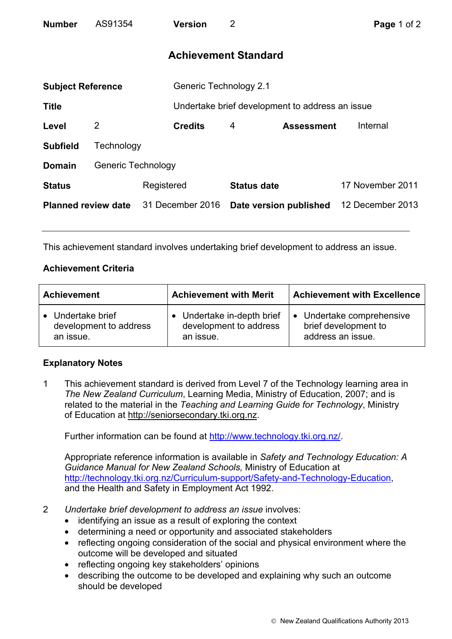| <b>Number</b>               | AS91354                   | <b>Version</b>   | 2                      |                                                 | Page 1 of 2      |  |  |
|-----------------------------|---------------------------|------------------|------------------------|-------------------------------------------------|------------------|--|--|
| <b>Achievement Standard</b> |                           |                  |                        |                                                 |                  |  |  |
| <b>Subject Reference</b>    |                           |                  | Generic Technology 2.1 |                                                 |                  |  |  |
| <b>Title</b>                |                           |                  |                        | Undertake brief development to address an issue |                  |  |  |
| Level                       | 2                         | <b>Credits</b>   | 4                      | <b>Assessment</b>                               | Internal         |  |  |
| <b>Subfield</b>             | Technology                |                  |                        |                                                 |                  |  |  |
| <b>Domain</b>               | <b>Generic Technology</b> |                  |                        |                                                 |                  |  |  |
| <b>Status</b>               |                           | Registered       | <b>Status date</b>     |                                                 | 17 November 2011 |  |  |
| <b>Planned review date</b>  |                           | 31 December 2016 |                        | Date version published                          | 12 December 2013 |  |  |

This achievement standard involves undertaking brief development to address an issue.

## **Achievement Criteria**

| <b>Achievement</b>     | <b>Achievement with Merit</b> | <b>Achievement with Excellence</b> |  |
|------------------------|-------------------------------|------------------------------------|--|
| • Undertake brief      | • Undertake in-depth brief    | • Undertake comprehensive          |  |
| development to address | development to address        | brief development to               |  |
| an issue.              | an issue.                     | address an issue.                  |  |

## **Explanatory Notes**

1 This achievement standard is derived from Level 7 of the Technology learning area in *The New Zealand Curriculum*, Learning Media, Ministry of Education, 2007; and is related to the material in the *Teaching and Learning Guide for Technology*, Ministry of Education at http://seniorsecondary.tki.org.nz.

Further information can be found at http://www.technology.tki.org.nz/.

Appropriate reference information is available in *Safety and Technology Education: A Guidance Manual for New Zealand Schools,* Ministry of Education at http://technology.tki.org.nz/Curriculum-support/Safety-and-Technology-Education, and the Health and Safety in Employment Act 1992.

- 2 *Undertake brief development to address an issue* involves:
	- identifying an issue as a result of exploring the context
	- determining a need or opportunity and associated stakeholders
	- reflecting ongoing consideration of the social and physical environment where the outcome will be developed and situated
	- reflecting ongoing key stakeholders' opinions
	- describing the outcome to be developed and explaining why such an outcome should be developed